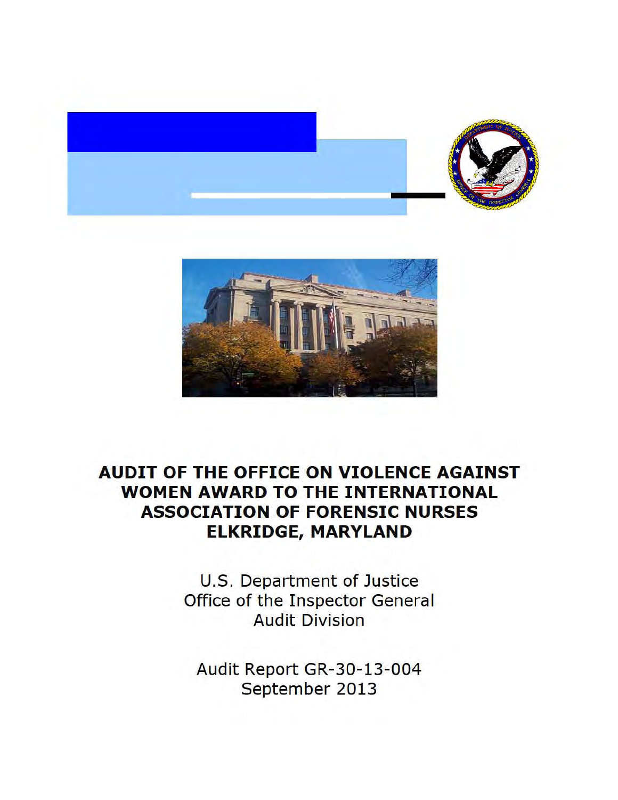



# **AUDIT OF THE OFFICE ON VIOLENCE AGAINST WOMEN AWARD TO THE INTERNATIONAL ASSOCIATION OF FORENSIC NURSES ELKRIDGE, MARYLAND**

U.S. Department of Justice Office of the Inspector General Audit Division

Audit Report GR-30-13-004 September 2013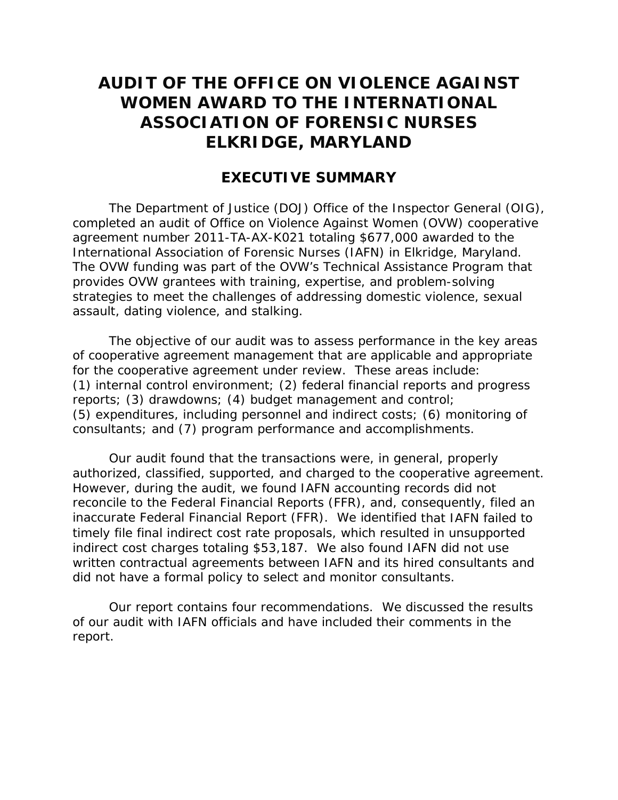# **AUDIT OF THE OFFICE ON VIOLENCE AGAINST WOMEN AWARD TO THE INTERNATIONAL ASSOCIATION OF FORENSIC NURSES ELKRIDGE, MARYLAND**

### **EXECUTIVE SUMMARY**

assault, dating violence, and stalking. The Department of Justice (DOJ) Office of the Inspector General (OIG), completed an audit of Office on Violence Against Women (OVW) cooperative agreement number 2011-TA-AX-K021 totaling \$677,000 awarded to the International Association of Forensic Nurses (IAFN) in Elkridge, Maryland. The OVW funding was part of the OVW's Technical Assistance Program that provides OVW grantees with training, expertise, and problem-solving strategies to meet the challenges of addressing domestic violence, sexual

 (1) internal control environment; (2) federal financial reports and progress The objective of our audit was to assess performance in the key areas of cooperative agreement management that are applicable and appropriate for the cooperative agreement under review. These areas include: reports; (3) drawdowns; (4) budget management and control; (5) expenditures, including personnel and indirect costs; (6) monitoring of consultants; and (7) program performance and accomplishments.

authorized, classified, supported, and charged to the cooperative agreement. inaccurate Federal Financial Report (FFR). We identified that IAFN failed to indirect cost charges totaling \$53,187. We also found IAFN did not use did not have a formal policy to select and monitor consultants. Our audit found that the transactions were, in general, properly However, during the audit, we found IAFN accounting records did not reconcile to the Federal Financial Reports (FFR), and, consequently, filed an timely file final indirect cost rate proposals, which resulted in unsupported written contractual agreements between IAFN and its hired consultants and

 of our audit with IAFN officials and have included their comments in the Our report contains four recommendations. We discussed the results. report.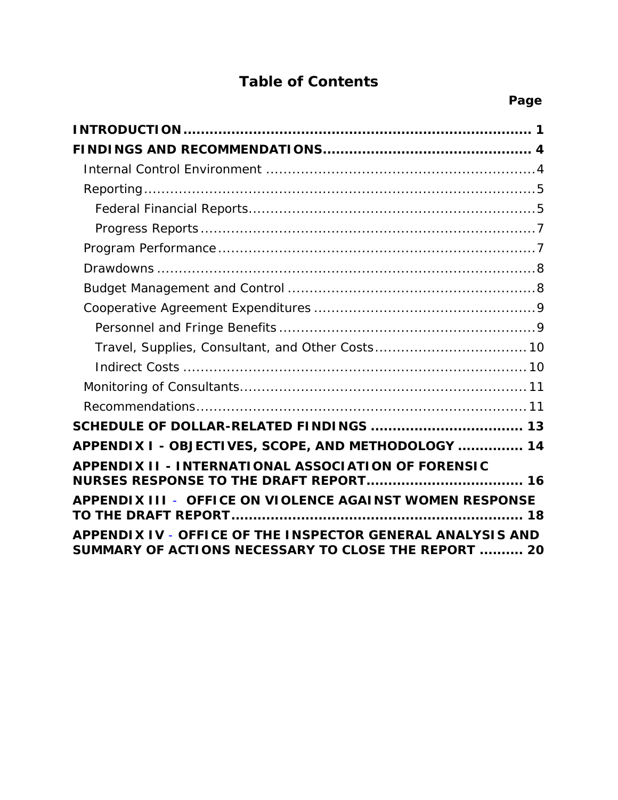# **Table of Contents**

| APPENDIX I - OBJECTIVES, SCOPE, AND METHODOLOGY  14                                                                |
|--------------------------------------------------------------------------------------------------------------------|
| <b>APPENDIX II - INTERNATIONAL ASSOCIATION OF FORENSIC</b>                                                         |
| APPENDIX III - OFFICE ON VIOLENCE AGAINST WOMEN RESPONSE                                                           |
| APPENDIX IV - OFFICE OF THE INSPECTOR GENERAL ANALYSIS AND<br>SUMMARY OF ACTIONS NECESSARY TO CLOSE THE REPORT  20 |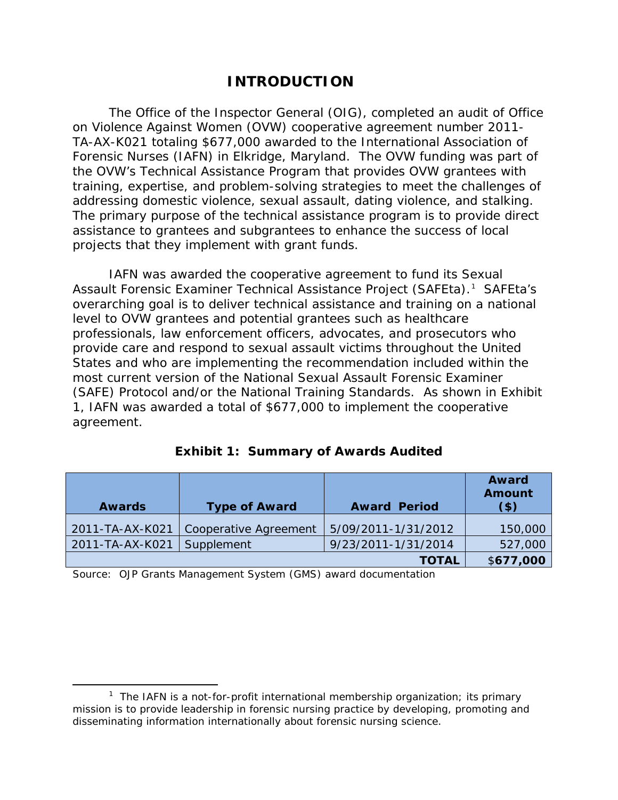# **INTRODUCTION**

The Office of the Inspector General (OIG), completed an audit of Office on Violence Against Women (OVW) cooperative agreement number 2011 TA-AX-K021 totaling \$677,000 awarded to the International Association of Forensic Nurses (IAFN) in Elkridge, Maryland. The OVW funding was part of the OVW's Technical Assistance Program that provides OVW grantees with training, expertise, and problem-solving strategies to meet the challenges of addressing domestic violence, sexual assault, dating violence, and stalking. The primary purpose of the technical assistance program is to provide direct assistance to grantees and subgrantees to enhance the success of local projects that they implement with grant funds.

Assault Forensic Examiner Technical Assistance Project (SAFEta).<sup>1</sup> SAFEta's States and who are implementing the recommendation included within the (SAFE) Protocol and/or the National Training Standards. As shown in Exhibit IAFN was awarded the cooperative agreement to fund its Sexual overarching goal is to deliver technical assistance and training on a national level to OVW grantees and potential grantees such as healthcare professionals, law enforcement officers, advocates, and prosecutors who provide care and respond to sexual assault victims throughout the United most current version of the National Sexual Assault Forensic Examiner 1, IAFN was awarded a total of \$677,000 to implement the cooperative agreement.

| <b>Awards</b>   | <b>Type of Award</b>         | <b>Award Period</b> | <b>Award</b><br><b>Amount</b><br>$($ \$) |
|-----------------|------------------------------|---------------------|------------------------------------------|
| 2011-TA-AX-K021 | <b>Cooperative Agreement</b> | 5/09/2011-1/31/2012 | 150,000                                  |
| 2011-TA-AX-K021 | Supplement                   | 9/23/2011-1/31/2014 | 527,000                                  |
|                 |                              | <b>TOTAL</b>        | \$677,000                                |

**Exhibit 1: Summary of Awards Audited** 

Source: OJP Grants Management System (GMS) award documentation

 $\overline{\phantom{a}}$ 

<sup>&</sup>lt;sup>1</sup> The IAFN is a not-for-profit international membership organization; its primary mission is to provide leadership in forensic nursing practice by developing, promoting and disseminating information internationally about forensic nursing science.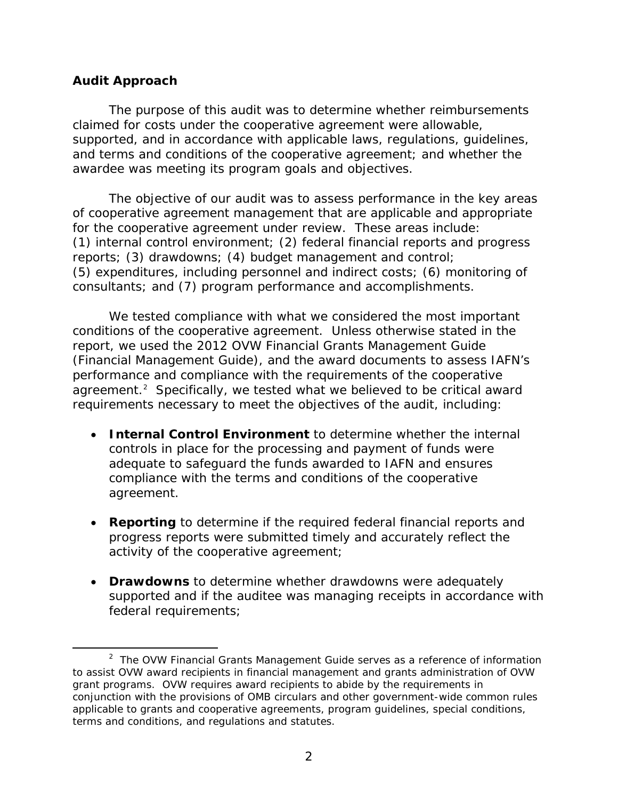### **Audit Approach**

l

awardee was meeting its program goals and objectives. The purpose of this audit was to determine whether reimbursements claimed for costs under the cooperative agreement were allowable, supported, and in accordance with applicable laws, regulations, guidelines, and terms and conditions of the cooperative agreement; and whether the

 for the cooperative agreement under review. These areas include: (1) internal control environment; (2) federal financial reports and progress consultants; and (7) program performance and accomplishments. The objective of our audit was to assess performance in the key areas of cooperative agreement management that are applicable and appropriate reports; (3) drawdowns; (4) budget management and control; (5) expenditures, including personnel and indirect costs; (6) monitoring of

 conditions of the cooperative agreement. Unless otherwise stated in the (Financial Management Guide), and the award documents to assess IAFN's agreement.<sup>2</sup> Specifically, we tested what we believed to be critical award We tested compliance with what we considered the most important report, we used the 2012 OVW Financial Grants Management Guide performance and compliance with the requirements of the cooperative requirements necessary to meet the objectives of the audit, including:

- agreement. **• Internal Control Environment** to determine whether the internal controls in place for the processing and payment of funds were adequate to safeguard the funds awarded to IAFN and ensures compliance with the terms and conditions of the cooperative
- • **Reporting** to determine if the required federal financial reports and progress reports were submitted timely and accurately reflect the activity of the cooperative agreement;
- **Drawdowns** to determine whether drawdowns were adequately supported and if the auditee was managing receipts in accordance with federal requirements;

 2 The OVW *Financial Grants Management Guide* serves as a reference of information to assist OVW award recipients in financial management and grants administration of OVW grant programs. OVW requires award recipients to abide by the requirements in conjunction with the provisions of OMB circulars and other government-wide common rules applicable to grants and cooperative agreements, program guidelines, special conditions, terms and conditions, and regulations and statutes.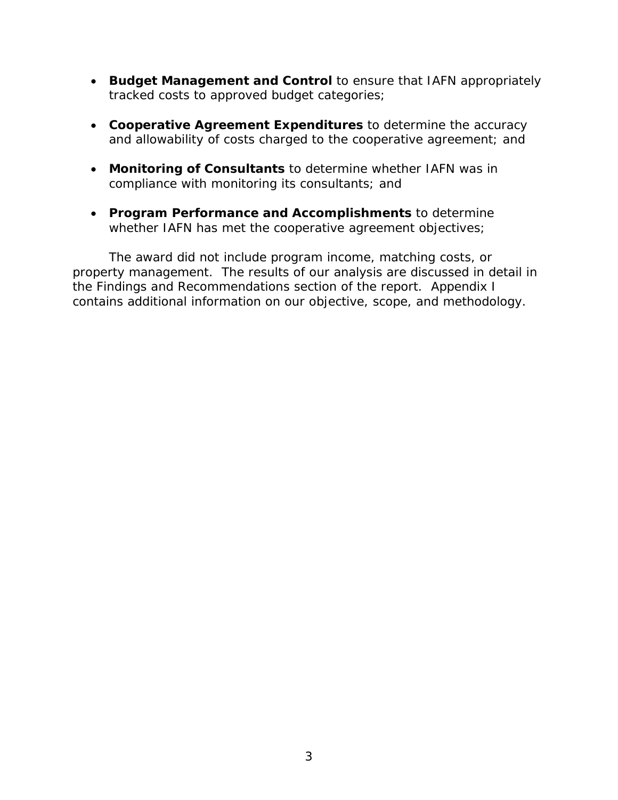- **Budget Management and Control** to ensure that IAFN appropriately tracked costs to approved budget categories;
- and allowability of costs charged to the cooperative agreement; and • **Cooperative Agreement Expenditures** to determine the accuracy
- • **Monitoring of Consultants** to determine whether IAFN was in compliance with monitoring its consultants; and
- • **Program Performance and Accomplishments** to determine whether IAFN has met the cooperative agreement objectives;

The award did not include program income, matching costs, or property management. The results of our analysis are discussed in detail in the Findings and Recommendations section of the report. Appendix I contains additional information on our objective, scope, and methodology.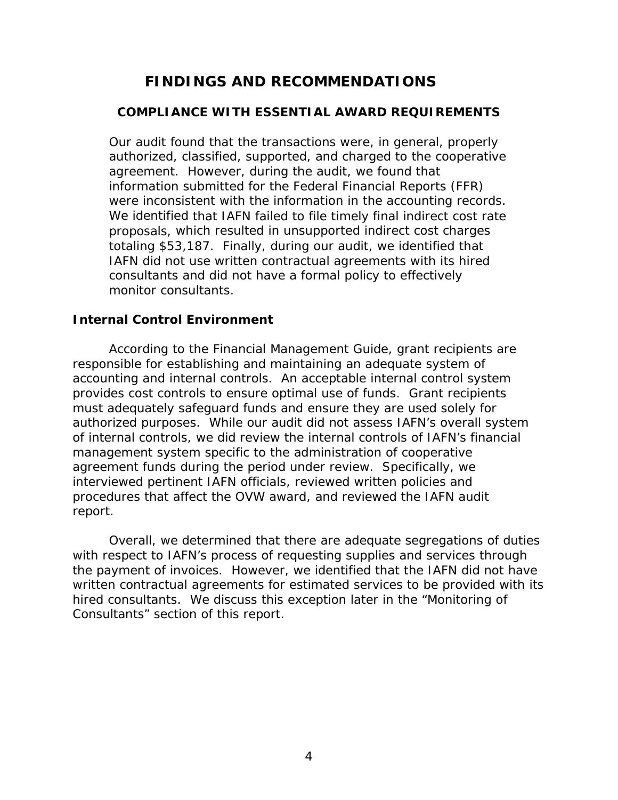# **FINDINGS AND RECOMMENDATIONS**

#### **COMPLIANCE WITH ESSENTIAL AWARD REQUIREMENTS**

 monitor consultants. Our audit found that the transactions were, in general, properly authorized, classified, supported, and charged to the cooperative agreement. However, during the audit, we found that information submitted for the Federal Financial Reports (FFR) were inconsistent with the information in the accounting records. We identified that IAFN failed to file timely final indirect cost rate proposals, which resulted in unsupported indirect cost charges totaling \$53,187. Finally, during our audit, we identified that IAFN did not use written contractual agreements with its hired consultants and did not have a formal policy to effectively

#### **Internal Control Environment**

According to the Financial Management Guide, grant recipients are responsible for establishing and maintaining an adequate system of accounting and internal controls. An acceptable internal control system provides cost controls to ensure optimal use of funds. Grant recipients must adequately safeguard funds and ensure they are used solely for authorized purposes. While our audit did not assess IAFN's overall system of internal controls, we did review the internal controls of IAFN's financial management system specific to the administration of cooperative agreement funds during the period under review. Specifically, we interviewed pertinent IAFN officials, reviewed written policies and procedures that affect the OVW award, and reviewed the IAFN audit report.

Overall, we determined that there are adequate segregations of duties with respect to IAFN's process of requesting supplies and services through the payment of invoices. However, we identified that the IAFN did not have written contractual agreements for estimated services to be provided with its hired consultants. We discuss this exception later in the "Monitoring of Consultants" section of this report.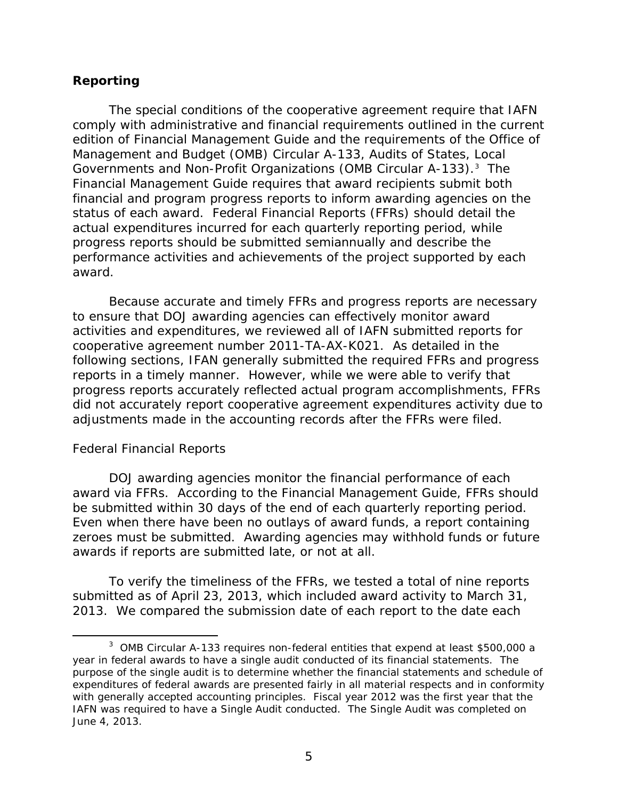### **Reporting**

 edition of Financial Management Guide and the requirements of the Office of *Governments and Non-Profit Organizations* (OMB Circular A-133).3 The status of each award. Federal Financial Reports (FFRs) should detail the The special conditions of the cooperative agreement require that IAFN comply with administrative and financial requirements outlined in the current Management and Budget (OMB) Circular A-133, *Audits of States, Local*  Financial Management Guide requires that award recipients submit both financial and program progress reports to inform awarding agencies on the actual expenditures incurred for each quarterly reporting period, while progress reports should be submitted semiannually and describe the performance activities and achievements of the project supported by each award.

 Because accurate and timely FFRs and progress reports are necessary to ensure that DOJ awarding agencies can effectively monitor award activities and expenditures, we reviewed all of IAFN submitted reports for cooperative agreement number 2011-TA-AX-K021. As detailed in the following sections, IFAN generally submitted the required FFRs and progress reports in a timely manner. However, while we were able to verify that progress reports accurately reflected actual program accomplishments, FFRs did not accurately report cooperative agreement expenditures activity due to adjustments made in the accounting records after the FFRs were filed.

#### *Federal Financial Reports*

 $\overline{\phantom{a}}$ 

 award via FFRs. According to the Financial Management Guide, FFRs should be submitted within 30 days of the end of each quarterly reporting period. DOJ awarding agencies monitor the financial performance of each Even when there have been no outlays of award funds, a report containing zeroes must be submitted. Awarding agencies may withhold funds or future awards if reports are submitted late, or not at all.

To verify the timeliness of the FFRs, we tested a total of nine reports submitted as of April 23, 2013, which included award activity to March 31, 2013. We compared the submission date of each report to the date each

 $3$  OMB Circular A-133 requires non-federal entities that expend at least \$500,000 a year in federal awards to have a single audit conducted of its financial statements. The purpose of the single audit is to determine whether the financial statements and schedule of expenditures of federal awards are presented fairly in all material respects and in conformity with generally accepted accounting principles. Fiscal year 2012 was the first year that the IAFN was required to have a Single Audit conducted. The Single Audit was completed on June 4, 2013.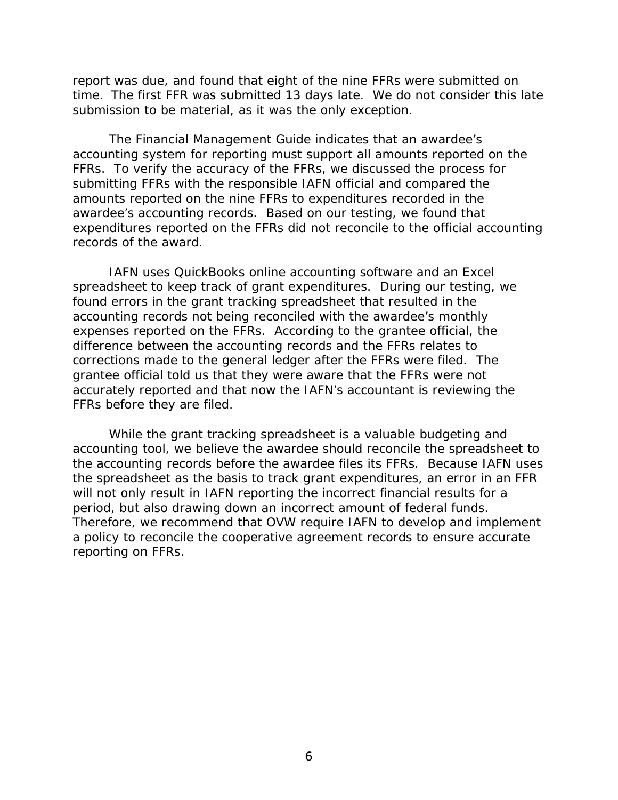report was due, and found that eight of the nine FFRs were submitted on time. The first FFR was submitted 13 days late. We do not consider this late submission to be material, as it was the only exception.

 FFRs. To verify the accuracy of the FFRs, we discussed the process for The Financial Management Guide indicates that an awardee's accounting system for reporting must support all amounts reported on the submitting FFRs with the responsible IAFN official and compared the amounts reported on the nine FFRs to expenditures recorded in the awardee's accounting records. Based on our testing, we found that expenditures reported on the FFRs did not reconcile to the official accounting records of the award.

 spreadsheet to keep track of grant expenditures. During our testing, we corrections made to the general ledger after the FFRs were filed. The grantee official told us that they were aware that the FFRs were not FFRs before they are filed. IAFN uses QuickBooks online accounting software and an Excel found errors in the grant tracking spreadsheet that resulted in the accounting records not being reconciled with the awardee's monthly expenses reported on the FFRs. According to the grantee official, the difference between the accounting records and the FFRs relates to accurately reported and that now the IAFN's accountant is reviewing the

 FFRs before they are filed. While the grant tracking spreadsheet is a valuable budgeting and period, but also drawing down an incorrect amount of federal funds. accounting tool, we believe the awardee should reconcile the spreadsheet to the accounting records before the awardee files its FFRs. Because IAFN uses the spreadsheet as the basis to track grant expenditures, an error in an FFR will not only result in IAFN reporting the incorrect financial results for a Therefore, we recommend that OVW require IAFN to develop and implement a policy to reconcile the cooperative agreement records to ensure accurate reporting on FFRs.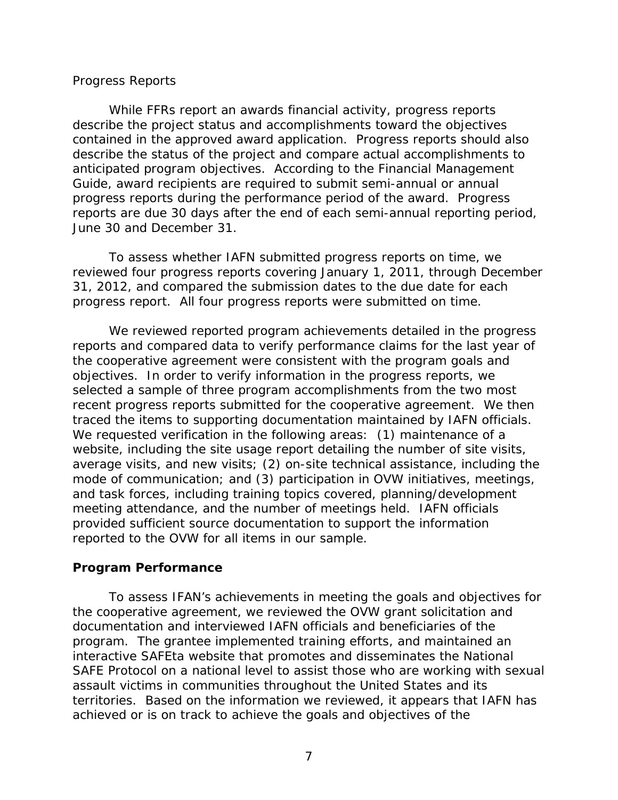#### *Progress Reports*

 June 30 and December 31. While FFRs report an awards financial activity, progress reports describe the project status and accomplishments toward the objectives contained in the approved award application. Progress reports should also describe the status of the project and compare actual accomplishments to anticipated program objectives. According to the Financial Management Guide, award recipients are required to submit semi-annual or annual progress reports during the performance period of the award. Progress reports are due 30 days after the end of each semi-annual reporting period,

To assess whether IAFN submitted progress reports on time, we reviewed four progress reports covering January 1, 2011, through December 31, 2012, and compared the submission dates to the due date for each progress report. All four progress reports were submitted on time.

 reports and compared data to verify performance claims for the last year of selected a sample of three program accomplishments from the two most traced the items to supporting documentation maintained by IAFN officials. average visits, and new visits; (2) on-site technical assistance, including the meeting attendance, and the number of meetings held. IAFN officials We reviewed reported program achievements detailed in the progress the cooperative agreement were consistent with the program goals and objectives. In order to verify information in the progress reports, we recent progress reports submitted for the cooperative agreement. We then We requested verification in the following areas: (1) maintenance of a website, including the site usage report detailing the number of site visits, mode of communication; and (3) participation in OVW initiatives, meetings, and task forces, including training topics covered, planning/development provided sufficient source documentation to support the information reported to the OVW for all items in our sample.

#### **Program Performance**

 the cooperative agreement, we reviewed the OVW grant solicitation and documentation and interviewed IAFN officials and beneficiaries of the territories. Based on the information we reviewed, it appears that IAFN has To assess IFAN's achievements in meeting the goals and objectives for program. The grantee implemented training efforts, and maintained an interactive SAFEta website that promotes and disseminates the National SAFE Protocol on a national level to assist those who are working with sexual assault victims in communities throughout the United States and its achieved or is on track to achieve the goals and objectives of the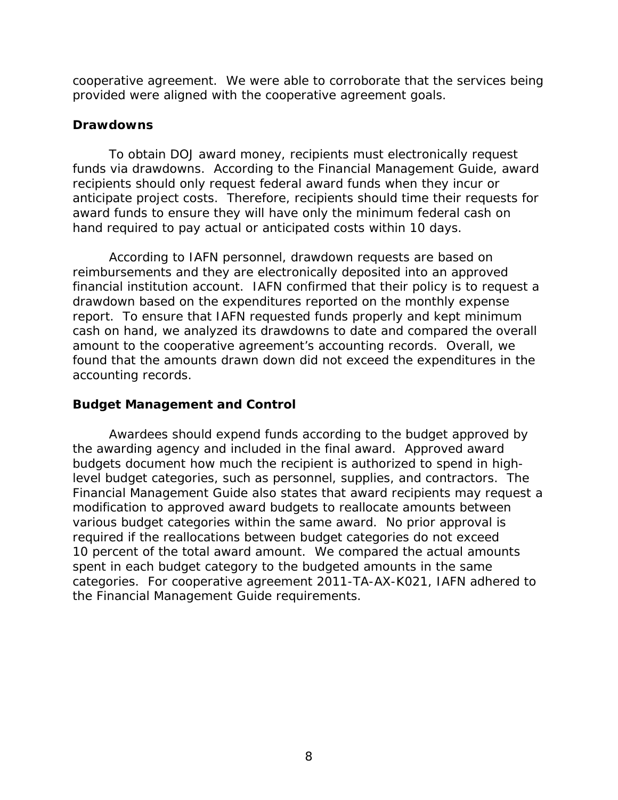cooperative agreement. We were able to corroborate that the services being provided were aligned with the cooperative agreement goals.

### **Drawdowns**

To obtain DOJ award money, recipients must electronically request funds via drawdowns. According to the Financial Management Guide, award recipients should only request federal award funds when they incur or anticipate project costs. Therefore, recipients should time their requests for award funds to ensure they will have only the minimum federal cash on hand required to pay actual or anticipated costs within 10 days.

 accounting records. According to IAFN personnel, drawdown requests are based on reimbursements and they are electronically deposited into an approved financial institution account. IAFN confirmed that their policy is to request a drawdown based on the expenditures reported on the monthly expense report. To ensure that IAFN requested funds properly and kept minimum cash on hand, we analyzed its drawdowns to date and compared the overall amount to the cooperative agreement's accounting records. Overall, we found that the amounts drawn down did not exceed the expenditures in the

### **Budget Management and Control**

 budgets document how much the recipient is authorized to spend in high- Financial Management Guide also states that award recipients may request a various budget categories within the same award. No prior approval is 10 percent of the total award amount. We compared the actual amounts the Financial Management Guide requirements. Awardees should expend funds according to the budget approved by the awarding agency and included in the final award. Approved award level budget categories, such as personnel, supplies, and contractors. The modification to approved award budgets to reallocate amounts between required if the reallocations between budget categories do not exceed spent in each budget category to the budgeted amounts in the same categories. For cooperative agreement 2011-TA-AX-K021, IAFN adhered to the Financial Management Guide requirements.<br> $\begin{aligned} \text{Ric} = \text{Ric} + \text{Ric} + \text{Ric} + \text{Ric} + \text{Ric} + \text{Ric} + \text{Ric} + \text{Ric} + \text{Ric} + \text{Ric} + \text{Ric} + \text{Ric} + \text{Ric} + \text{Ric} + \text{Ric} + \text{Ric} + \text{Ric} + \text{Ric} + \text{Ric} + \text{Ric} + \text{Ric} + \text{Ric} + \text{Ric} + \text{$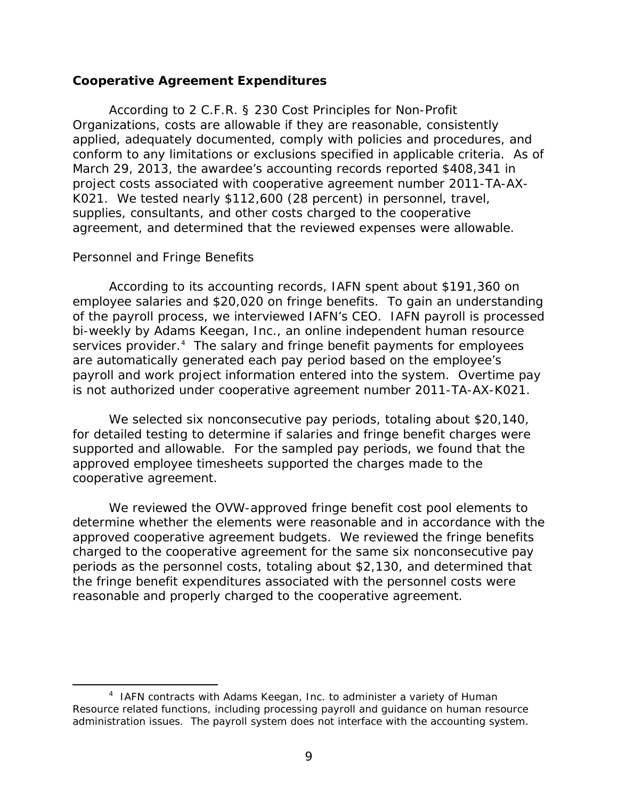#### **Cooperative Agreement Expenditures**

 K021. We tested nearly \$112,600 (28 percent) in personnel, travel, According to 2 C.F.R. § 230 *Cost Principles for Non-Profit Organizations*, costs are allowable if they are reasonable, consistently applied, adequately documented, comply with policies and procedures, and conform to any limitations or exclusions specified in applicable criteria. As of March 29, 2013, the awardee's accounting records reported \$408,341 in project costs associated with cooperative agreement number 2011-TA-AXsupplies, consultants, and other costs charged to the cooperative agreement, and determined that the reviewed expenses were allowable.

#### *Personnel and Fringe Benefits*

 $\overline{\phantom{a}}$ 

services provider.<sup>4</sup> The salary and fringe benefit payments for employees According to its accounting records, IAFN spent about \$191,360 on employee salaries and \$20,020 on fringe benefits. To gain an understanding of the payroll process, we interviewed IAFN's CEO. IAFN payroll is processed bi-weekly by Adams Keegan, Inc., an online independent human resource are automatically generated each pay period based on the employee's payroll and work project information entered into the system. Overtime pay

 is not authorized under cooperative agreement number 2011-TA-AX-K021. We selected six nonconsecutive pay periods, totaling about \$20,140, supported and allowable. For the sampled pay periods, we found that the for detailed testing to determine if salaries and fringe benefit charges were approved employee timesheets supported the charges made to the cooperative agreement.

We reviewed the OVW-approved fringe benefit cost pool elements to determine whether the elements were reasonable and in accordance with the approved cooperative agreement budgets. We reviewed the fringe benefits charged to the cooperative agreement for the same six nonconsecutive pay periods as the personnel costs, totaling about \$2,130, and determined that the fringe benefit expenditures associated with the personnel costs were reasonable and properly charged to the cooperative agreement.

 $4$  IAFN contracts with Adams Keegan, Inc. to administer a variety of Human Resource related functions, including processing payroll and guidance on human resource administration issues. The payroll system does not interface with the accounting system.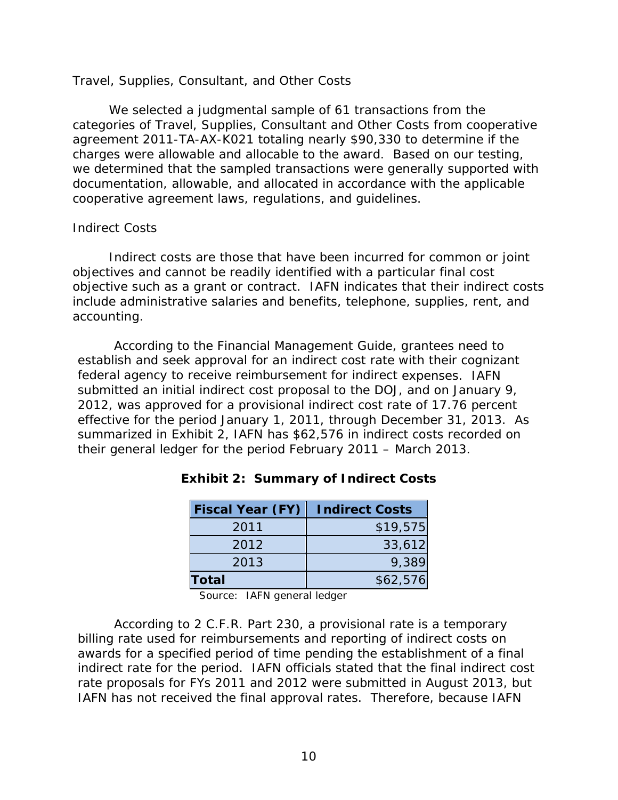#### *Travel, Supplies, Consultant, and Other Costs*

 charges were allowable and allocable to the award. Based on our testing, We selected a judgmental sample of 61 transactions from the categories of Travel, Supplies, Consultant and Other Costs from cooperative agreement 2011-TA-AX-K021 totaling nearly \$90,330 to determine if the we determined that the sampled transactions were generally supported with documentation, allowable, and allocated in accordance with the applicable cooperative agreement laws, regulations, and guidelines.

#### *Indirect Costs*

 Indirect costs are those that have been incurred for common or joint objectives and cannot be readily identified with a particular final cost include administrative salaries and benefits, telephone, supplies, rent, and objective such as a grant or contract. IAFN indicates that their indirect costs accounting.

 establish and seek approval for an indirect cost rate with their cognizant federal agency to receive reimbursement for indirect expenses. IAFN submitted an initial indirect cost proposal to the DOJ, and on January 9, According to the Financial Management Guide, grantees need to 2012, was approved for a provisional indirect cost rate of 17.76 percent effective for the period January 1, 2011, through December 31, 2013. As summarized in Exhibit 2, IAFN has \$62,576 in indirect costs recorded on their general ledger for the period February 2011 – March 2013.

| <b>Fiscal Year (FY)</b> | <b>Indirect Costs</b> |
|-------------------------|-----------------------|
| 2011                    | \$19,575              |
| 2012                    | 33,612                |
| 2013                    | 9,389                 |
| Total                   | \$62,576              |

### **Exhibit 2: Summary of Indirect Costs**

Source: IAFN general ledger

 indirect rate for the period. IAFN officials stated that the final indirect cost According to 2 C.F.R. Part 230, a provisional rate is a temporary billing rate used for reimbursements and reporting of indirect costs on awards for a specified period of time pending the establishment of a final rate proposals for FYs 2011 and 2012 were submitted in August 2013, but IAFN has not received the final approval rates. Therefore, because IAFN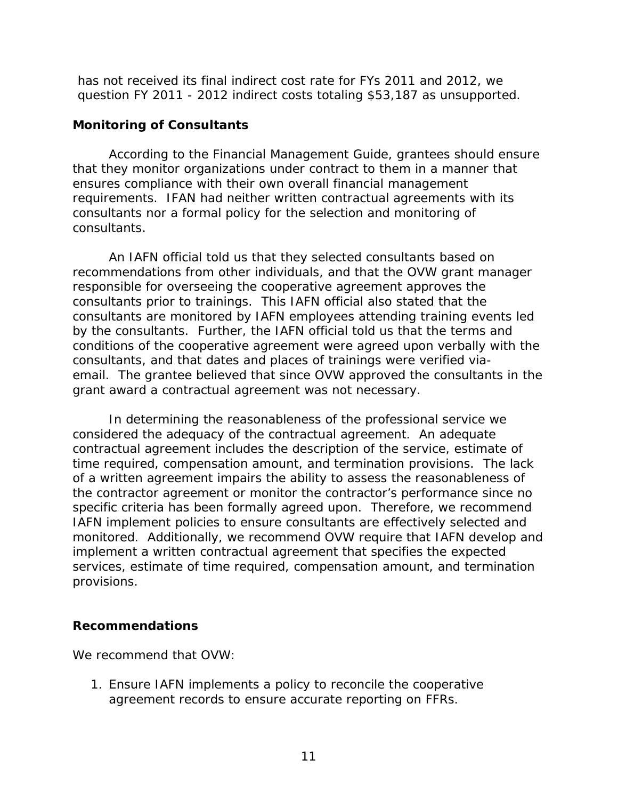question FY 2011 - 2012 indirect costs totaling \$53,187 as unsupported. has not received its final indirect cost rate for FYs 2011 and 2012, we

### **Monitoring of Consultants**

 that they monitor organizations under contract to them in a manner that requirements. IFAN had neither written contractual agreements with its According to the Financial Management Guide, grantees should ensure ensures compliance with their own overall financial management consultants nor a formal policy for the selection and monitoring of consultants.

 email. The grantee believed that since OVW approved the consultants in the grant award a contractual agreement was not necessary. An IAFN official told us that they selected consultants based on recommendations from other individuals, and that the OVW grant manager responsible for overseeing the cooperative agreement approves the consultants prior to trainings. This IAFN official also stated that the consultants are monitored by IAFN employees attending training events led by the consultants. Further, the IAFN official told us that the terms and conditions of the cooperative agreement were agreed upon verbally with the consultants, and that dates and places of trainings were verified via-

 considered the adequacy of the contractual agreement. An adequate In determining the reasonableness of the professional service we contractual agreement includes the description of the service, estimate of time required, compensation amount, and termination provisions. The lack of a written agreement impairs the ability to assess the reasonableness of the contractor agreement or monitor the contractor's performance since no specific criteria has been formally agreed upon. Therefore, we recommend IAFN implement policies to ensure consultants are effectively selected and monitored. Additionally, we recommend OVW require that IAFN develop and implement a written contractual agreement that specifies the expected services, estimate of time required, compensation amount, and termination provisions.

### **Recommendations**

We recommend that OVW:

1. Ensure IAFN implements a policy to reconcile the cooperative agreement records to ensure accurate reporting on FFRs.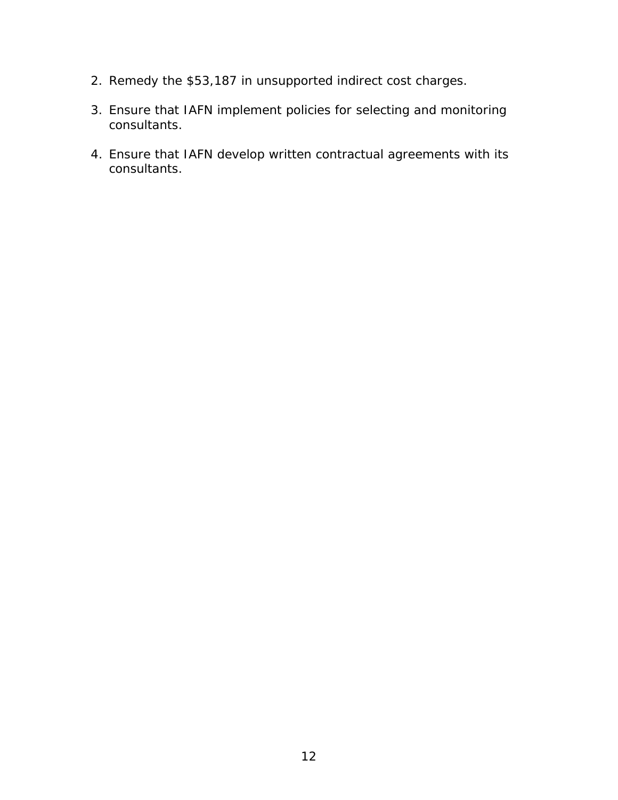- 2. Remedy the \$53,187 in unsupported indirect cost charges.
- 3. Ensure that IAFN implement policies for selecting and monitoring consultants.
- 4. Ensure that IAFN develop written contractual agreements with its consultants.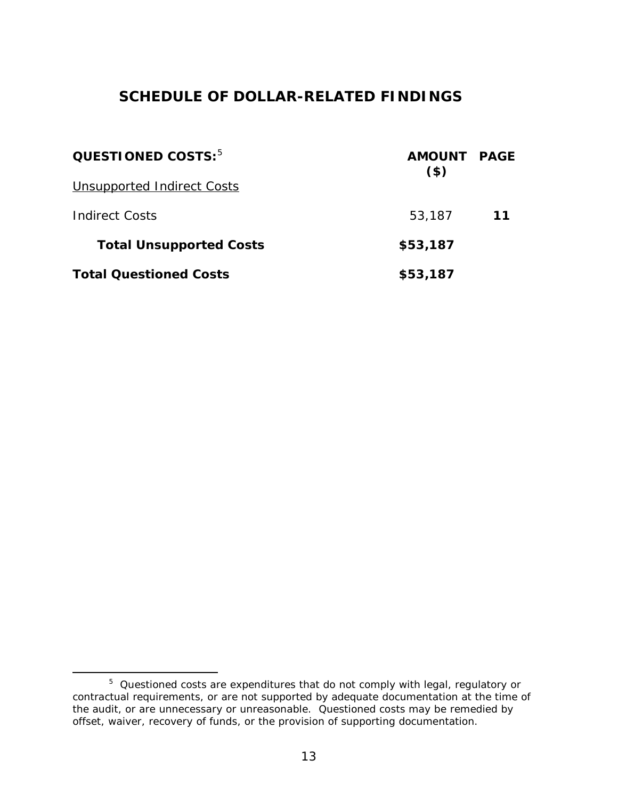# **SCHEDULE OF DOLLAR-RELATED FINDINGS**

| QUESTIONED COSTS: <sup>5</sup> | AMOUNT PAGE<br>$($ \$ |    |  |
|--------------------------------|-----------------------|----|--|
| Unsupported Indirect Costs     |                       |    |  |
| <b>Indirect Costs</b>          | 53,187                | 11 |  |
| <b>Total Unsupported Costs</b> | \$53,187              |    |  |
| <b>Total Questioned Costs</b>  | \$53,187              |    |  |

l

 the audit, or are unnecessary or unreasonable. Questioned costs may be remedied by offset, waiver, recovery of funds, or the provision of supporting documentation.  $5$  Questioned costs are expenditures that do not comply with legal, regulatory or contractual requirements, or are not supported by adequate documentation at the time of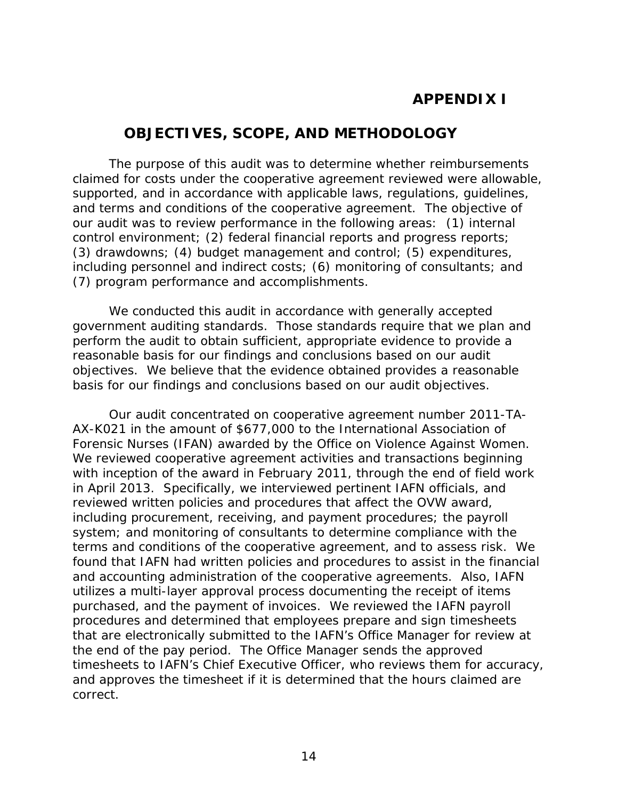# **APPENDIX I**

## **OBJECTIVES, SCOPE, AND METHODOLOGY**

(7) program performance and accomplishments. The purpose of this audit was to determine whether reimbursements claimed for costs under the cooperative agreement reviewed were allowable, supported, and in accordance with applicable laws, regulations, guidelines, and terms and conditions of the cooperative agreement. The objective of our audit was to review performance in the following areas: (1) internal control environment; (2) federal financial reports and progress reports; (3) drawdowns; (4) budget management and control; (5) expenditures, including personnel and indirect costs; (6) monitoring of consultants; and

 reasonable basis for our findings and conclusions based on our audit We conducted this audit in accordance with generally accepted government auditing standards. Those standards require that we plan and perform the audit to obtain sufficient, appropriate evidence to provide a objectives. We believe that the evidence obtained provides a reasonable basis for our findings and conclusions based on our audit objectives.

 terms and conditions of the cooperative agreement, and to assess risk. We that are electronically submitted to the IAFN's Office Manager for review at the end of the pay period. The Office Manager sends the approved Our audit concentrated on cooperative agreement number 2011-TA-AX-K021 in the amount of \$677,000 to the International Association of Forensic Nurses (IFAN) awarded by the Office on Violence Against Women. We reviewed cooperative agreement activities and transactions beginning with inception of the award in February 2011, through the end of field work in April 2013. Specifically, we interviewed pertinent IAFN officials, and reviewed written policies and procedures that affect the OVW award, including procurement, receiving, and payment procedures; the payroll system; and monitoring of consultants to determine compliance with the found that IAFN had written policies and procedures to assist in the financial and accounting administration of the cooperative agreements. Also, IAFN utilizes a multi-layer approval process documenting the receipt of items purchased, and the payment of invoices. We reviewed the IAFN payroll procedures and determined that employees prepare and sign timesheets timesheets to IAFN's Chief Executive Officer, who reviews them for accuracy, and approves the timesheet if it is determined that the hours claimed are correct.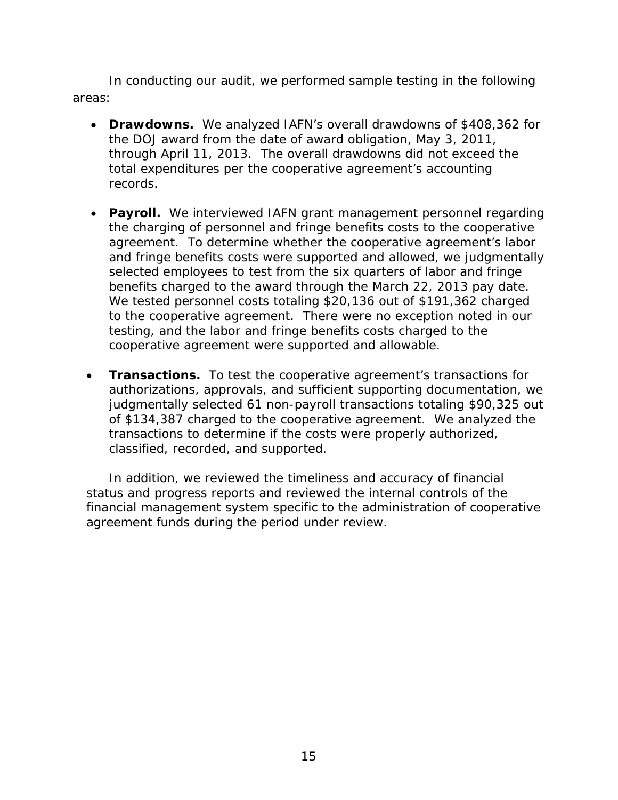In conducting our audit, we performed sample testing in the following areas:

- Drawdowns. We analyzed IAFN's overall drawdowns of \$408,362 for the DOJ award from the date of award obligation, May 3, 2011, through April 11, 2013. The overall drawdowns did not exceed the total expenditures per the cooperative agreement's accounting records.
- **Payroll.** We interviewed IAFN grant management personnel regarding benefits charged to the award through the March 22, 2013 pay date. testing, and the labor and fringe benefits costs charged to the cooperative agreement were supported and allowable. the charging of personnel and fringe benefits costs to the cooperative agreement. To determine whether the cooperative agreement's labor and fringe benefits costs were supported and allowed, we judgmentally selected employees to test from the six quarters of labor and fringe We tested personnel costs totaling \$20,136 out of \$191,362 charged to the cooperative agreement. There were no exception noted in our
- **Transactions.** To test the cooperative agreement's transactions for authorizations, approvals, and sufficient supporting documentation, we judgmentally selected 61 non-payroll transactions totaling \$90,325 out of \$134,387 charged to the cooperative agreement. We analyzed the transactions to determine if the costs were properly authorized, classified, recorded, and supported.

In addition, we reviewed the timeliness and accuracy of financial status and progress reports and reviewed the internal controls of the financial management system specific to the administration of cooperative agreement funds during the period under review.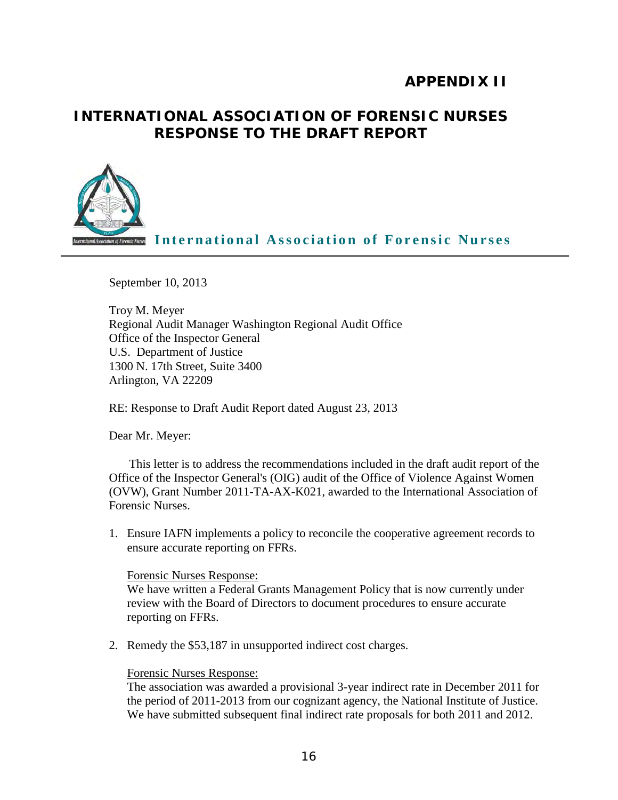# **APPENDIX II**

# **RESPONSE TO THE DRAFT REPORT INTERNATIONAL ASSOCIATION OF FORENSIC NURSES**



**International Association of Forensic Nurses**

September 10, 2013

Troy M. Meyer Regional Audit Manager Washington Regional Audit Office Office of the Inspector General U.S. Department of Justice 1300 N. 17th Street, Suite 3400 Arlington, VA 22209

RE: Response to Draft Audit Report dated August 23, 2013

Dear Mr. Meyer:

This letter is to address the recommendations included in the draft audit report of the Office of the Inspector General's (OIG) audit of the Office of Violence Against Women (OVW), Grant Number 2011-TA-AX-K021, awarded to the International Association of Forensic Nurses.

1. Ensure IAFN implements a policy to reconcile the cooperative agreement records to ensure accurate reporting on FFRs.

#### Forensic Nurses Response:

 We have written a Federal Grants Management Policy that is now currently under review with the Board of Directors to document procedures to ensure accurate reporting on FFRs.

2. Remedy the \$53,187 in unsupported indirect cost charges.

#### Forensic Nurses Response:

 the period of 2011-2013 from our cognizant agency, the National Institute of Justice. The association was awarded a provisional 3-year indirect rate in December 2011 for We have submitted subsequent final indirect rate proposals for both 2011 and 2012.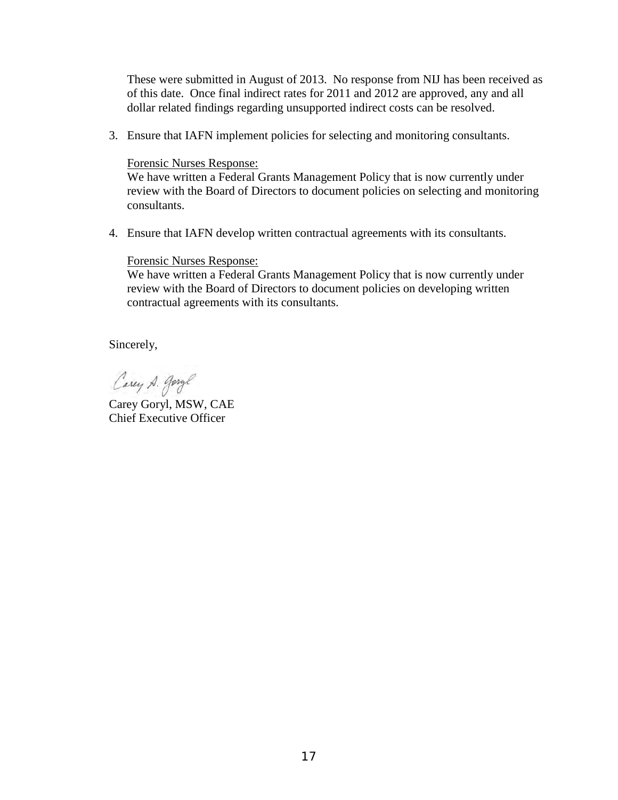These were submitted in August of 2013. No response from NIJ has been received as of this date. Once final indirect rates for 2011 and 2012 are approved, any and all dollar related findings regarding unsupported indirect costs can be resolved.

3. Ensure that IAFN implement policies for selecting and monitoring consultants.

#### Forensic Nurses Response:

 We have written a Federal Grants Management Policy that is now currently under review with the Board of Directors to document policies on selecting and monitoring consultants.

4. Ensure that IAFN develop written contractual agreements with its consultants.

#### Forensic Nurses Response:

 We have written a Federal Grants Management Policy that is now currently under review with the Board of Directors to document policies on developing written contractual agreements with its consultants.

Sincerely,

Carey A. garge

Carey Goryl, MSW, CAE Chief Executive Officer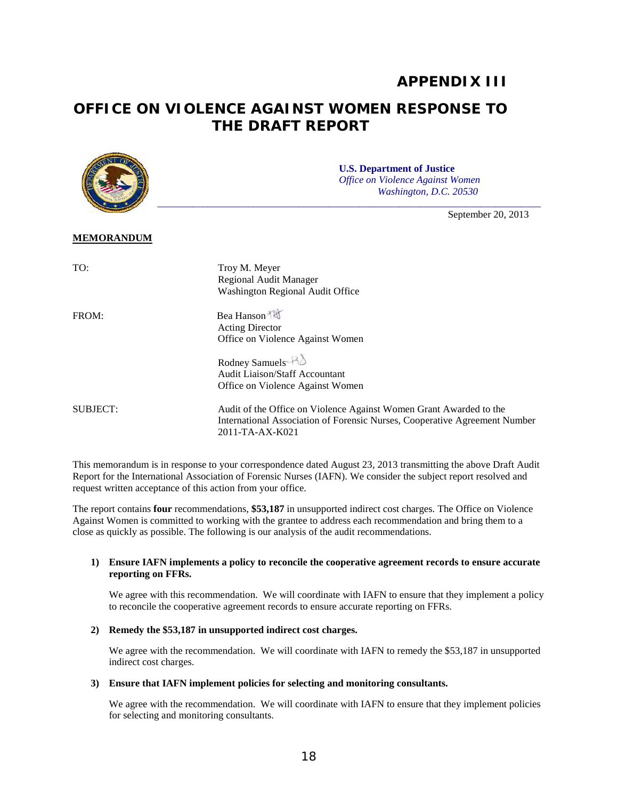## **APPENDIX III**

# **OFFICE ON VIOLENCE AGAINST WOMEN RESPONSE TO THE DRAFT REPORT**



 This memorandum is in response to your correspondence dated August 23, 2013 transmitting the above Draft Audit Report for the International Association of Forensic Nurses (IAFN). We consider the subject report resolved and request written acceptance of this action from your office.

 Against Women is committed to working with the grantee to address each recommendation and bring them to a close as quickly as possible. The following is our analysis of the audit recommendations. The report contains **four** recommendations, **\$53,187** in unsupported indirect cost charges. The Office on Violence

#### **1) Ensure IAFN implements a policy to reconcile the cooperative agreement records to ensure accurate reporting on FFRs.**

We agree with this recommendation. We will coordinate with IAFN to ensure that they implement a policy to reconcile the cooperative agreement records to ensure accurate reporting on FFRs.

#### **2) Remedy the \$53,187 in unsupported indirect cost charges.**

We agree with the recommendation. We will coordinate with IAFN to remedy the \$53,187 in unsupported indirect cost charges.

#### **3) Ensure that IAFN implement policies for selecting and monitoring consultants.**

We agree with the recommendation. We will coordinate with IAFN to ensure that they implement policies for selecting and monitoring consultants.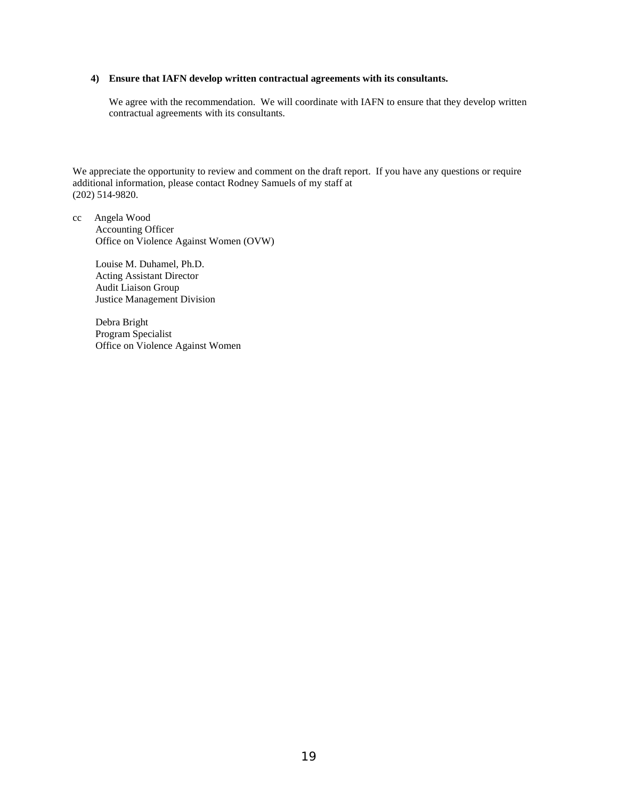#### **4) Ensure that IAFN develop written contractual agreements with its consultants.**

 We agree with the recommendation. We will coordinate with IAFN to ensure that they develop written contractual agreements with its consultants.

We appreciate the opportunity to review and comment on the draft report. If you have any questions or require additional information, please contact Rodney Samuels of my staff at (202) 514-9820.

 cc Angela Wood Accounting Officer Office on Violence Against Women (OVW)

> Louise M. Duhamel, Ph.D. Acting Assistant Director Audit Liaison Group Justice Management Division

Debra Bright Program Specialist Office on Violence Against Women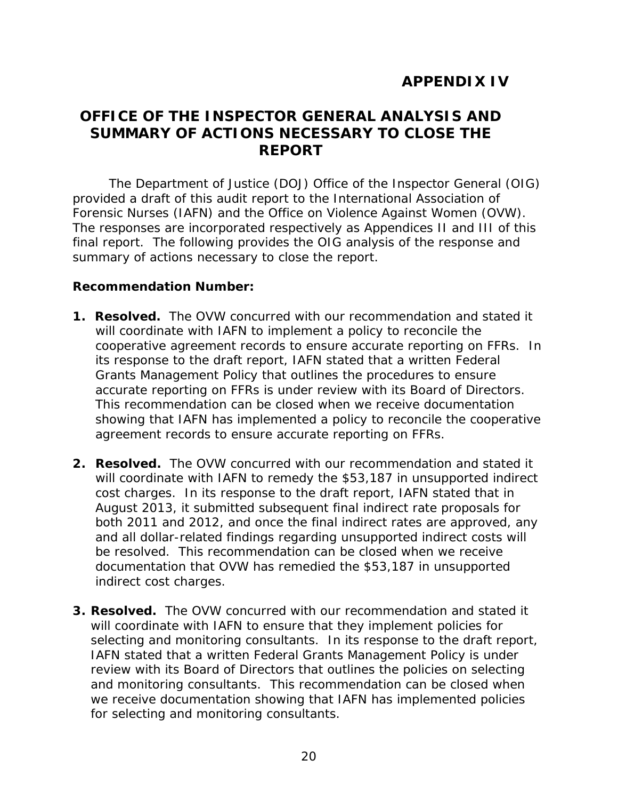# **APPENDIX IV**

# **OFFICE OF THE INSPECTOR GENERAL ANALYSIS AND SUMMARY OF ACTIONS NECESSARY TO CLOSE THE REPORT**

 final report. The following provides the OIG analysis of the response and The Department of Justice (DOJ) Office of the Inspector General (OIG) provided a draft of this audit report to the International Association of Forensic Nurses (IAFN) and the Office on Violence Against Women (OVW). The responses are incorporated respectively as Appendices II and III of this summary of actions necessary to close the report.

#### **Recommendation Number:**

- **1. Resolved.** The OVW concurred with our recommendation and stated it will coordinate with IAFN to implement a policy to reconcile the cooperative agreement records to ensure accurate reporting on FFRs. In Grants Management Policy that outlines the procedures to ensure accurate reporting on FFRs is under review with its Board of Directors. showing that IAFN has implemented a policy to reconcile the cooperative agreement records to ensure accurate reporting on FFRs. its response to the draft report, IAFN stated that a written Federal This recommendation can be closed when we receive documentation
- **2. Resolved.** The OVW concurred with our recommendation and stated it cost charges. In its response to the draft report, IAFN stated that in both 2011 and 2012, and once the final indirect rates are approved, any be resolved. This recommendation can be closed when we receive will coordinate with IAFN to remedy the \$53,187 in unsupported indirect August 2013, it submitted subsequent final indirect rate proposals for and all dollar-related findings regarding unsupported indirect costs will documentation that OVW has remedied the \$53,187 in unsupported indirect cost charges.
- **3. Resolved.** The OVW concurred with our recommendation and stated it selecting and monitoring consultants. In its response to the draft report, and monitoring consultants. This recommendation can be closed when will coordinate with IAFN to ensure that they implement policies for IAFN stated that a written Federal Grants Management Policy is under review with its Board of Directors that outlines the policies on selecting we receive documentation showing that IAFN has implemented policies for selecting and monitoring consultants.